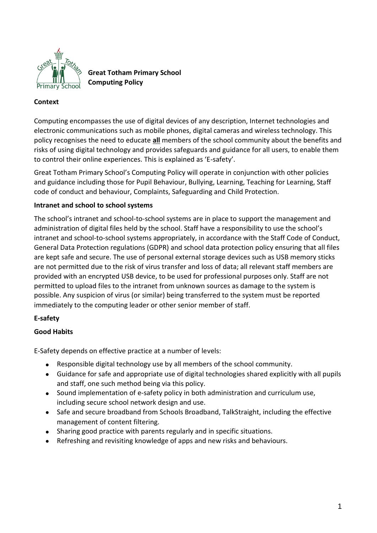

**Great Totham Primary School Computing Policy**

# **Context**

Computing encompasses the use of digital devices of any description, Internet technologies and electronic communications such as mobile phones, digital cameras and wireless technology. This policy recognises the need to educate **all** members of the school community about the benefits and risks of using digital technology and provides safeguards and guidance for all users, to enable them to control their online experiences. This is explained as 'E-safety'.

Great Totham Primary School's Computing Policy will operate in conjunction with other policies and guidance including those for Pupil Behaviour, Bullying, Learning, Teaching for Learning, Staff code of conduct and behaviour, Complaints, Safeguarding and Child Protection.

#### **Intranet and school to school systems**

The school's intranet and school-to-school systems are in place to support the management and administration of digital files held by the school. Staff have a responsibility to use the school's intranet and school-to-school systems appropriately, in accordance with the Staff Code of Conduct, General Data Protection regulations (GDPR) and school data protection policy ensuring that all files are kept safe and secure. The use of personal external storage devices such as USB memory sticks are not permitted due to the risk of virus transfer and loss of data; all relevant staff members are provided with an encrypted USB device, to be used for professional purposes only. Staff are not permitted to upload files to the intranet from unknown sources as damage to the system is possible. Any suspicion of virus (or similar) being transferred to the system must be reported immediately to the computing leader or other senior member of staff.

#### **E-safety**

# **Good Habits**

E-Safety depends on effective practice at a number of levels:

- Responsible digital technology use by all members of the school community.
- Guidance for safe and appropriate use of digital technologies shared explicitly with all pupils and staff, one such method being via this policy.
- Sound implementation of e-safety policy in both administration and curriculum use, including secure school network design and use.
- Safe and secure broadband from Schools Broadband, TalkStraight, including the effective management of content filtering.
- Sharing good practice with parents regularly and in specific situations.
- Refreshing and revisiting knowledge of apps and new risks and behaviours.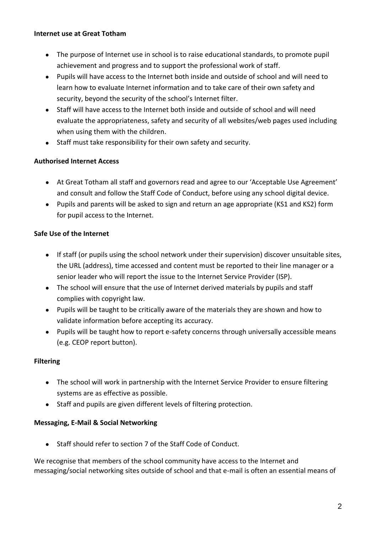#### **Internet use at Great Totham**

- The purpose of Internet use in school is to raise educational standards, to promote pupil achievement and progress and to support the professional work of staff.
- Pupils will have access to the Internet both inside and outside of school and will need to learn how to evaluate Internet information and to take care of their own safety and security, beyond the security of the school's Internet filter.
- Staff will have access to the Internet both inside and outside of school and will need evaluate the appropriateness, safety and security of all websites/web pages used including when using them with the children.
- Staff must take responsibility for their own safety and security.

# **Authorised Internet Access**

- At Great Totham all staff and governors read and agree to our 'Acceptable Use Agreement' and consult and follow the Staff Code of Conduct, before using any school digital device.
- Pupils and parents will be asked to sign and return an age appropriate (KS1 and KS2) form for pupil access to the Internet.

# **Safe Use of the Internet**

- If staff (or pupils using the school network under their supervision) discover unsuitable sites, the URL (address), time accessed and content must be reported to their line manager or a senior leader who will report the issue to the Internet Service Provider (ISP).
- The school will ensure that the use of Internet derived materials by pupils and staff complies with copyright law.
- Pupils will be taught to be critically aware of the materials they are shown and how to validate information before accepting its accuracy.
- Pupils will be taught how to report e-safety concerns through universally accessible means (e.g. CEOP report button).

#### **Filtering**

- The school will work in partnership with the Internet Service Provider to ensure filtering systems are as effective as possible.
- Staff and pupils are given different levels of filtering protection.

# **Messaging, E-Mail & Social Networking**

Staff should refer to section 7 of the Staff Code of Conduct.

We recognise that members of the school community have access to the Internet and messaging/social networking sites outside of school and that e-mail is often an essential means of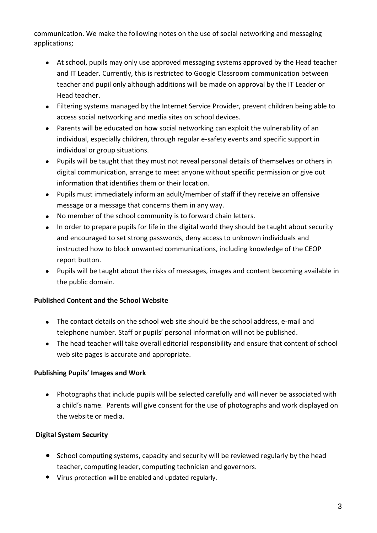communication. We make the following notes on the use of social networking and messaging applications;

- At school, pupils may only use approved messaging systems approved by the Head teacher and IT Leader. Currently, this is restricted to Google Classroom communication between teacher and pupil only although additions will be made on approval by the IT Leader or Head teacher.
- Filtering systems managed by the Internet Service Provider, prevent children being able to access social networking and media sites on school devices.
- Parents will be educated on how social networking can exploit the vulnerability of an individual, especially children, through regular e-safety events and specific support in individual or group situations.
- Pupils will be taught that they must not reveal personal details of themselves or others in digital communication, arrange to meet anyone without specific permission or give out information that identifies them or their location.
- Pupils must immediately inform an adult/member of staff if they receive an offensive message or a message that concerns them in any way.
- No member of the school community is to forward chain letters.
- In order to prepare pupils for life in the digital world they should be taught about security and encouraged to set strong passwords, deny access to unknown individuals and instructed how to block unwanted communications, including knowledge of the CEOP report button.
- Pupils will be taught about the risks of messages, images and content becoming available in the public domain.

# **Published Content and the School Website**

- The contact details on the school web site should be the school address, e-mail and telephone number. Staff or pupils' personal information will not be published.
- The head teacher will take overall editorial responsibility and ensure that content of school web site pages is accurate and appropriate.

# **Publishing Pupils' Images and Work**

 Photographs that include pupils will be selected carefully and will never be associated with a child's name. Parents will give consent for the use of photographs and work displayed on the website or media.

# **Digital System Security**

- School computing systems, capacity and security will be reviewed regularly by the head teacher, computing leader, computing technician and governors.
- Virus protection will be enabled and updated regularly.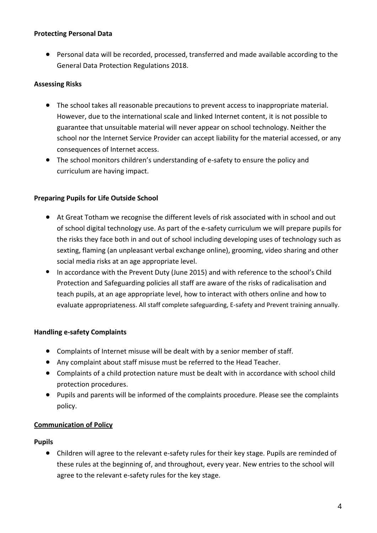#### **Protecting Personal Data**

● Personal data will be recorded, processed, transferred and made available according to the General Data Protection Regulations 2018.

#### **Assessing Risks**

- The school takes all reasonable precautions to prevent access to inappropriate material. However, due to the international scale and linked Internet content, it is not possible to guarantee that unsuitable material will never appear on school technology. Neither the school nor the Internet Service Provider can accept liability for the material accessed, or any consequences of Internet access.
- The school monitors children's understanding of e-safety to ensure the policy and curriculum are having impact.

#### **Preparing Pupils for Life Outside School**

- At Great Totham we recognise the different levels of risk associated with in school and out of school digital technology use. As part of the e-safety curriculum we will prepare pupils for the risks they face both in and out of school including developing uses of technology such as sexting, flaming (an unpleasant verbal exchange online), grooming, video sharing and other social media risks at an age appropriate level.
- In accordance with the Prevent Duty (June 2015) and with reference to the school's Child Protection and Safeguarding policies all staff are aware of the risks of radicalisation and teach pupils, at an age appropriate level, how to interact with others online and how to evaluate appropriateness. All staff complete safeguarding, E-safety and Prevent training annually.

#### **Handling e-safety Complaints**

- Complaints of Internet misuse will be dealt with by a senior member of staff.
- Any complaint about staff misuse must be referred to the Head Teacher.
- Complaints of a child protection nature must be dealt with in accordance with school child protection procedures.
- Pupils and parents will be informed of the complaints procedure. Please see the complaints policy.

#### **Communication of Policy**

#### **Pupils**

● Children will agree to the relevant e-safety rules for their key stage. Pupils are reminded of these rules at the beginning of, and throughout, every year. New entries to the school will agree to the relevant e-safety rules for the key stage.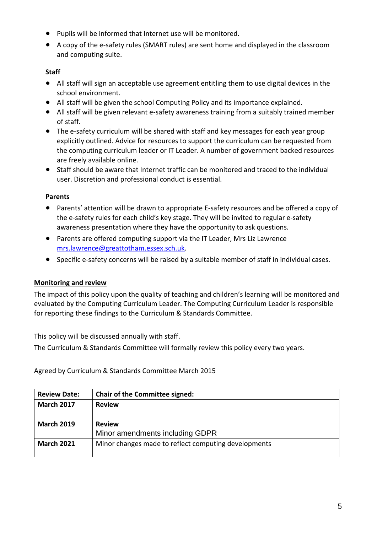- Pupils will be informed that Internet use will be monitored.
- A copy of the e-safety rules (SMART rules) are sent home and displayed in the classroom and computing suite.

# **Staff**

- All staff will sign an acceptable use agreement entitling them to use digital devices in the school environment.
- All staff will be given the school Computing Policy and its importance explained.
- All staff will be given relevant e-safety awareness training from a suitably trained member of staff.
- The e-safety curriculum will be shared with staff and key messages for each year group explicitly outlined. Advice for resources to support the curriculum can be requested from the computing curriculum leader or IT Leader. A number of government backed resources are freely available online.
- Staff should be aware that Internet traffic can be monitored and traced to the individual user. Discretion and professional conduct is essential.

# **Parents**

- Parents' attention will be drawn to appropriate E-safety resources and be offered a copy of the e-safety rules for each child's key stage. They will be invited to regular e-safety awareness presentation where they have the opportunity to ask questions.
- Parents are offered computing support via the IT Leader, Mrs Liz Lawrence [mrs.lawrence@greattotham.essex.sch.uk.](mailto:mrs.lawrence@greattotham.essex.sch.uk)
- Specific e-safety concerns will be raised by a suitable member of staff in individual cases.

# **Monitoring and review**

The impact of this policy upon the quality of teaching and children's learning will be monitored and evaluated by the Computing Curriculum Leader. The Computing Curriculum Leader is responsible for reporting these findings to the Curriculum & Standards Committee.

This policy will be discussed annually with staff.

The Curriculum & Standards Committee will formally review this policy every two years.

Agreed by Curriculum & Standards Committee March 2015

| <b>Review Date:</b> | <b>Chair of the Committee signed:</b>                |  |
|---------------------|------------------------------------------------------|--|
| <b>March 2017</b>   | <b>Review</b>                                        |  |
|                     |                                                      |  |
| <b>March 2019</b>   | <b>Review</b>                                        |  |
|                     | Minor amendments including GDPR                      |  |
| <b>March 2021</b>   | Minor changes made to reflect computing developments |  |
|                     |                                                      |  |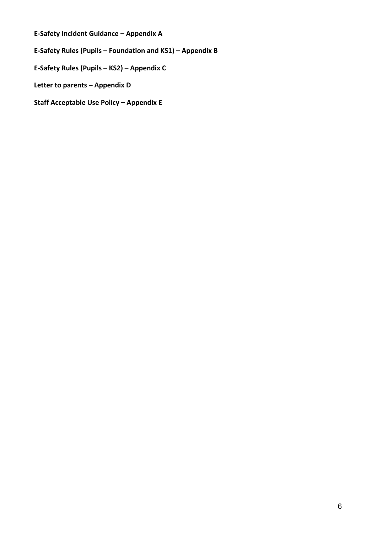**E-Safety Incident Guidance – Appendix A**

**E-Safety Rules (Pupils – Foundation and KS1) – Appendix B**

**E-Safety Rules (Pupils – KS2) – Appendix C**

**Letter to parents – Appendix D**

**Staff Acceptable Use Policy – Appendix E**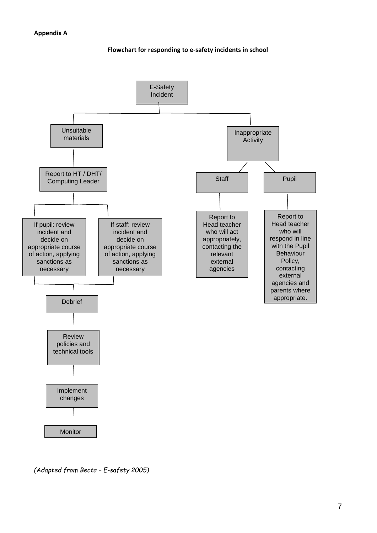**Flowchart for responding to e-safety incidents in school**



*<sup>(</sup>Adapted from Becta – E-safety 2005)*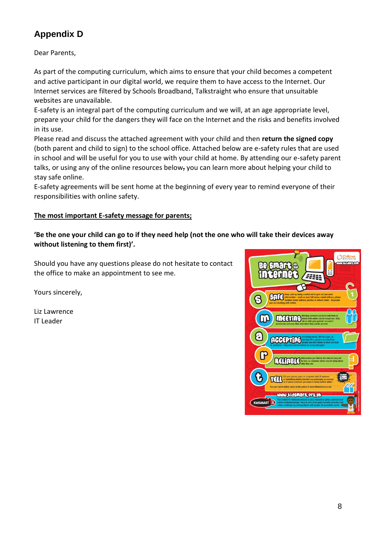# **Appendix D**

Dear Parents,

As part of the computing curriculum, which aims to ensure that your child becomes a competent and active participant in our digital world, we require them to have access to the Internet. Our Internet services are filtered by Schools Broadband, Talkstraight who ensure that unsuitable websites are unavailable.

E-safety is an integral part of the computing curriculum and we will, at an age appropriate level, prepare your child for the dangers they will face on the Internet and the risks and benefits involved in its use.

Please read and discuss the attached agreement with your child and then **return the signed copy** (both parent and child to sign) to the school office. Attached below are e-safety rules that are used in school and will be useful for you to use with your child at home. By attending our e-safety parent talks, or using any of the online resources below, you can learn more about helping your child to stay safe online.

E-safety agreements will be sent home at the beginning of every year to remind everyone of their responsibilities with online safety.

# **The most important E-safety message for parents;**

**'Be the one your child can go to if they need help (not the one who will take their devices away without listening to them first)'.** 

Should you have any questions please do not hesitate to contact the office to make an appointment to see me.

Yours sincerely,

Liz Lawrence IT Leader

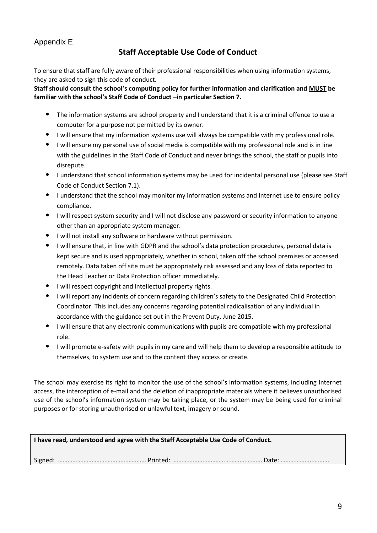### Appendix E

# **Staff Acceptable Use Code of Conduct**

To ensure that staff are fully aware of their professional responsibilities when using information systems, they are asked to sign this code of conduct.

#### **Staff should consult the school's computing policy for further information and clarification and MUST be familiar with the school's Staff Code of Conduct –in particular Section 7.**

- The information systems are school property and I understand that it is a criminal offence to use a computer for a purpose not permitted by its owner.
- I will ensure that my information systems use will always be compatible with my professional role.
- I will ensure my personal use of social media is compatible with my professional role and is in line with the guidelines in the Staff Code of Conduct and never brings the school, the staff or pupils into disrepute.
- I understand that school information systems may be used for incidental personal use (please see Staff Code of Conduct Section 7.1).
- I understand that the school may monitor my information systems and Internet use to ensure policy compliance.
- I will respect system security and I will not disclose any password or security information to anyone other than an appropriate system manager.
- I will not install any software or hardware without permission.
- I will ensure that, in line with GDPR and the school's data protection procedures, personal data is kept secure and is used appropriately, whether in school, taken off the school premises or accessed remotely. Data taken off site must be appropriately risk assessed and any loss of data reported to the Head Teacher or Data Protection officer immediately.
- I will respect copyright and intellectual property rights.
- I will report any incidents of concern regarding children's safety to the Designated Child Protection Coordinator. This includes any concerns regarding potential radicalisation of any individual in accordance with the guidance set out in the Prevent Duty, June 2015.
- I will ensure that any electronic communications with pupils are compatible with my professional role.
- I will promote e-safety with pupils in my care and will help them to develop a responsible attitude to themselves, to system use and to the content they access or create.

The school may exercise its right to monitor the use of the school's information systems, including Internet access, the interception of e-mail and the deletion of inappropriate materials where it believes unauthorised use of the school's information system may be taking place, or the system may be being used for criminal purposes or for storing unauthorised or unlawful text, imagery or sound.

| I have read, understood and agree with the Staff Acceptable Use Code of Conduct. |  |  |  |
|----------------------------------------------------------------------------------|--|--|--|
|                                                                                  |  |  |  |